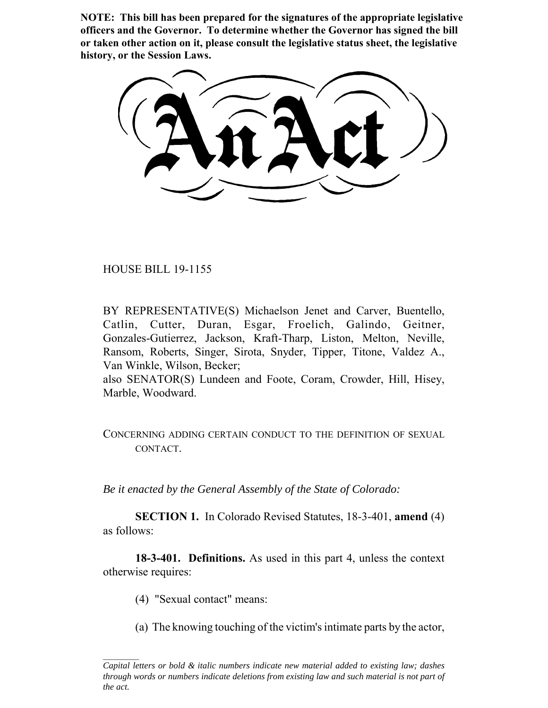**NOTE: This bill has been prepared for the signatures of the appropriate legislative officers and the Governor. To determine whether the Governor has signed the bill or taken other action on it, please consult the legislative status sheet, the legislative history, or the Session Laws.**

HOUSE BILL 19-1155

BY REPRESENTATIVE(S) Michaelson Jenet and Carver, Buentello, Catlin, Cutter, Duran, Esgar, Froelich, Galindo, Geitner, Gonzales-Gutierrez, Jackson, Kraft-Tharp, Liston, Melton, Neville, Ransom, Roberts, Singer, Sirota, Snyder, Tipper, Titone, Valdez A., Van Winkle, Wilson, Becker;

also SENATOR(S) Lundeen and Foote, Coram, Crowder, Hill, Hisey, Marble, Woodward.

## CONCERNING ADDING CERTAIN CONDUCT TO THE DEFINITION OF SEXUAL CONTACT.

*Be it enacted by the General Assembly of the State of Colorado:*

**SECTION 1.** In Colorado Revised Statutes, 18-3-401, **amend** (4) as follows:

**18-3-401. Definitions.** As used in this part 4, unless the context otherwise requires:

(4) "Sexual contact" means:

(a) The knowing touching of the victim's intimate parts by the actor,

*Capital letters or bold & italic numbers indicate new material added to existing law; dashes through words or numbers indicate deletions from existing law and such material is not part of the act.*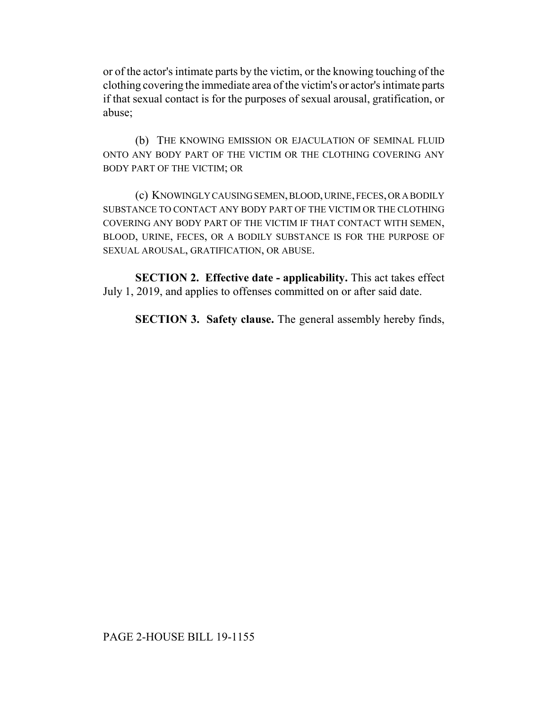or of the actor's intimate parts by the victim, or the knowing touching of the clothing covering the immediate area of the victim's or actor's intimate parts if that sexual contact is for the purposes of sexual arousal, gratification, or abuse;

(b) THE KNOWING EMISSION OR EJACULATION OF SEMINAL FLUID ONTO ANY BODY PART OF THE VICTIM OR THE CLOTHING COVERING ANY BODY PART OF THE VICTIM; OR

(c) KNOWINGLY CAUSING SEMEN, BLOOD, URINE, FECES, OR A BODILY SUBSTANCE TO CONTACT ANY BODY PART OF THE VICTIM OR THE CLOTHING COVERING ANY BODY PART OF THE VICTIM IF THAT CONTACT WITH SEMEN, BLOOD, URINE, FECES, OR A BODILY SUBSTANCE IS FOR THE PURPOSE OF SEXUAL AROUSAL, GRATIFICATION, OR ABUSE.

**SECTION 2. Effective date - applicability.** This act takes effect July 1, 2019, and applies to offenses committed on or after said date.

**SECTION 3. Safety clause.** The general assembly hereby finds,